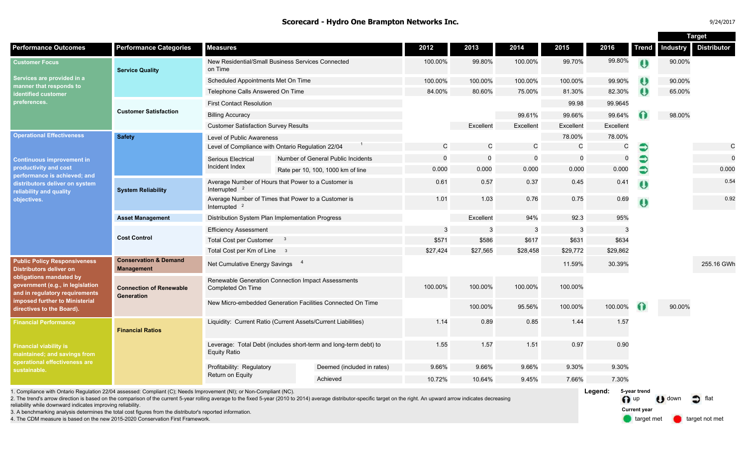#### **Scorecard - Hydro One Brampton Networks Inc.**

| 9/24/2017 |  |
|-----------|--|
|           |  |

**Target** 

|                                                                                                                                                                                                                                       |                                                       |                                                                                         |  |                                                                                                                                                                                                                           |              |              |             |              |                         |                     | ı aı yet        |                    |
|---------------------------------------------------------------------------------------------------------------------------------------------------------------------------------------------------------------------------------------|-------------------------------------------------------|-----------------------------------------------------------------------------------------|--|---------------------------------------------------------------------------------------------------------------------------------------------------------------------------------------------------------------------------|--------------|--------------|-------------|--------------|-------------------------|---------------------|-----------------|--------------------|
| <b>Performance Outcomes</b>                                                                                                                                                                                                           | <b>Performance Categories</b>                         | <b>Measures</b>                                                                         |  |                                                                                                                                                                                                                           | 2012         | 2013         | 2014        | 2015         | 2016                    | <b>Trend</b>        | <b>Industry</b> | <b>Distributor</b> |
| <b>Customer Focus</b><br>Services are provided in a<br>manner that responds to<br>identified customer<br>preferences.                                                                                                                 | <b>Service Quality</b>                                | New Residential/Small Business Services Connected<br>on Time                            |  |                                                                                                                                                                                                                           | 100.00%      | 99.80%       | 100.00%     | 99.70%       | 99.80%                  | $\bullet$           | 90.00%          |                    |
|                                                                                                                                                                                                                                       |                                                       | Scheduled Appointments Met On Time                                                      |  |                                                                                                                                                                                                                           | 100.00%      | 100.00%      | 100.00%     | 100.00%      | 99.90%                  |                     | 90.00%          |                    |
|                                                                                                                                                                                                                                       |                                                       | Telephone Calls Answered On Time                                                        |  |                                                                                                                                                                                                                           | 84.00%       | 80.60%       | 75.00%      | 81.30%       | 82.30%                  | $\bullet$           | 65.00%          |                    |
|                                                                                                                                                                                                                                       | <b>Customer Satisfaction</b>                          | <b>First Contact Resolution</b>                                                         |  |                                                                                                                                                                                                                           |              |              |             | 99.98        | 99.9645                 |                     |                 |                    |
|                                                                                                                                                                                                                                       |                                                       | <b>Billing Accuracy</b>                                                                 |  |                                                                                                                                                                                                                           |              |              | 99.61%      | 99.66%       | 99.64%                  |                     | 98.00%          |                    |
|                                                                                                                                                                                                                                       |                                                       | <b>Customer Satisfaction Survey Results</b>                                             |  |                                                                                                                                                                                                                           |              | Excellent    | Excellent   | Excellent    | Excellent               |                     |                 |                    |
| <b>Operational Effectiveness</b><br><b>Continuous improvement in</b><br>productivity and cost<br>performance is achieved; and<br>distributors deliver on system<br>reliability and quality<br>objectives.                             | <b>Safety</b>                                         | Level of Public Awareness                                                               |  |                                                                                                                                                                                                                           |              |              |             | 78.00%       | 78.00%                  |                     |                 |                    |
|                                                                                                                                                                                                                                       |                                                       | Level of Compliance with Ontario Regulation 22/04                                       |  |                                                                                                                                                                                                                           | $\mathsf{C}$ | $\mathsf{C}$ | $\mathsf C$ | $\mathsf{C}$ | $\mathsf{C}$            | €                   |                 | $\mathbf C$        |
|                                                                                                                                                                                                                                       |                                                       | Serious Electrical<br>Incident Index                                                    |  | Number of General Public Incidents                                                                                                                                                                                        | $\Omega$     | $\Omega$     | $\Omega$    | $\Omega$     | $\Omega$                | €                   |                 | $\Omega$           |
|                                                                                                                                                                                                                                       |                                                       |                                                                                         |  | Rate per 10, 100, 1000 km of line                                                                                                                                                                                         | 0.000        | 0.000        | 0.000       | 0.000        | 0.000                   | €                   |                 | 0.000              |
|                                                                                                                                                                                                                                       | <b>System Reliability</b>                             | Average Number of Hours that Power to a Customer is<br>Interrupted $2$                  |  |                                                                                                                                                                                                                           | 0.61         | 0.57         | 0.37        | 0.45         | 0.41                    | Ü                   |                 | 0.54               |
|                                                                                                                                                                                                                                       |                                                       | Average Number of Times that Power to a Customer is<br>Interrupted <sup>2</sup>         |  |                                                                                                                                                                                                                           | 1.01         | 1.03         | 0.76        | 0.75         | 0.69                    | $\ddot{\mathbf{0}}$ |                 | 0.92               |
|                                                                                                                                                                                                                                       | <b>Asset Management</b>                               | Distribution System Plan Implementation Progress                                        |  |                                                                                                                                                                                                                           |              | Excellent    | 94%         | 92.3         | 95%                     |                     |                 |                    |
|                                                                                                                                                                                                                                       | <b>Cost Control</b>                                   | <b>Efficiency Assessment</b>                                                            |  |                                                                                                                                                                                                                           | 3            | 3            | 3           | 3            | 3                       |                     |                 |                    |
|                                                                                                                                                                                                                                       |                                                       | <b>Total Cost per Customer</b><br>$_{3}$                                                |  |                                                                                                                                                                                                                           | \$571        | \$586        | \$617       | \$631        | \$634                   |                     |                 |                    |
|                                                                                                                                                                                                                                       |                                                       | Total Cost per Km of Line 3                                                             |  |                                                                                                                                                                                                                           | \$27,424     | \$27,565     | \$28,458    | \$29,772     | \$29,862                |                     |                 |                    |
| <b>Public Policy Responsiveness</b><br><b>Distributors deliver on</b><br>obligations mandated by<br>government (e.g., in legislation<br>and in regulatory requirements<br>imposed further to Ministerial<br>directives to the Board). | <b>Conservation &amp; Demand</b><br><b>Management</b> | Net Cumulative Energy Savings 4                                                         |  |                                                                                                                                                                                                                           |              |              | 11.59%      | 30.39%       |                         |                     | 255.16 GWh      |                    |
|                                                                                                                                                                                                                                       | <b>Connection of Renewable</b><br>Generation          | Renewable Generation Connection Impact Assessments<br>Completed On Time                 |  |                                                                                                                                                                                                                           | 100.00%      | 100.00%      | 100.00%     | 100.00%      |                         |                     |                 |                    |
|                                                                                                                                                                                                                                       |                                                       | New Micro-embedded Generation Facilities Connected On Time                              |  |                                                                                                                                                                                                                           |              | 100.00%      | 95.56%      | 100.00%      | 100.00%                 | $\bullet$           | 90.00%          |                    |
| <b>Financial Performance</b>                                                                                                                                                                                                          | <b>Financial Ratios</b>                               | Liquidity: Current Ratio (Current Assets/Current Liabilities)                           |  |                                                                                                                                                                                                                           | 1.14         | 0.89         | 0.85        | 1.44         | 1.57                    |                     |                 |                    |
| <b>Financial viability is</b><br>maintained; and savings from<br>operational effectiveness are<br>sustainable.                                                                                                                        |                                                       | Leverage: Total Debt (includes short-term and long-term debt) to<br><b>Equity Ratio</b> |  |                                                                                                                                                                                                                           | 1.55         | 1.57         | 1.51        | 0.97         | 0.90                    |                     |                 |                    |
|                                                                                                                                                                                                                                       |                                                       | Profitability: Regulatory<br>Return on Equity                                           |  | Deemed (included in rates)                                                                                                                                                                                                | 9.66%        | 9.66%        | 9.66%       | 9.30%        | 9.30%                   |                     |                 |                    |
|                                                                                                                                                                                                                                       |                                                       |                                                                                         |  | Achieved                                                                                                                                                                                                                  | 10.72%       | 10.64%       | 9.45%       | 7.66%        | 7.30%                   |                     |                 |                    |
| 1. Compliance with Ontario Regulation 22/04 assessed: Compliant (C); Needs Improvement (NI); or Non-Compliant (NC).                                                                                                                   |                                                       |                                                                                         |  | 2. The trend's arrow direction is based on the comparison of the current 5-year rolling average to the fixed 5-year (2010 to 2014) average distributor-specific target on the right. An upward arrow indicates decreasing |              |              |             |              | Legend:<br>$\bigcap$ up | 5-year trend        | $\bigcup$ down  | flat               |

reliability while downward indicates improving reliability.

3. A benchmarking analysis determines the total cost figures from the distributor's reported information.

4. The CDM measure is based on the new 2015-2020 Conservation First Framework.

**Current year**

target met **target not met**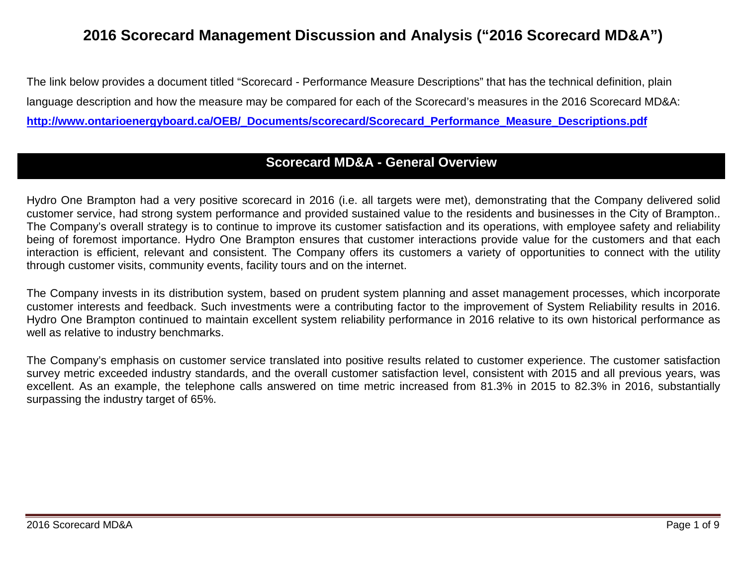# **2016 Scorecard Management Discussion and Analysis ("2016 Scorecard MD&A")**

The link below provides a document titled "Scorecard - Performance Measure Descriptions" that has the technical definition, plain language description and how the measure may be compared for each of the Scorecard's measures in the 2016 Scorecard MD&A: **[http://www.ontarioenergyboard.ca/OEB/\\_Documents/scorecard/Scorecard\\_Performance\\_Measure\\_Descriptions.pdf](http://www.ontarioenergyboard.ca/OEB/_Documents/scorecard/Scorecard_Performance_Measure_Descriptions.pdf)**

# **Scorecard MD&A - General Overview**

Hydro One Brampton had a very positive scorecard in 2016 (i.e. all targets were met), demonstrating that the Company delivered solid customer service, had strong system performance and provided sustained value to the residents and businesses in the City of Brampton.. The Company's overall strategy is to continue to improve its customer satisfaction and its operations, with employee safety and reliability being of foremost importance. Hydro One Brampton ensures that customer interactions provide value for the customers and that each interaction is efficient, relevant and consistent. The Company offers its customers a variety of opportunities to connect with the utility through customer visits, community events, facility tours and on the internet.

The Company invests in its distribution system, based on prudent system planning and asset management processes, which incorporate customer interests and feedback. Such investments were a contributing factor to the improvement of System Reliability results in 2016. Hydro One Brampton continued to maintain excellent system reliability performance in 2016 relative to its own historical performance as well as relative to industry benchmarks.

The Company's emphasis on customer service translated into positive results related to customer experience. The customer satisfaction survey metric exceeded industry standards, and the overall customer satisfaction level, consistent with 2015 and all previous years, was excellent. As an example, the telephone calls answered on time metric increased from 81.3% in 2015 to 82.3% in 2016, substantially surpassing the industry target of 65%.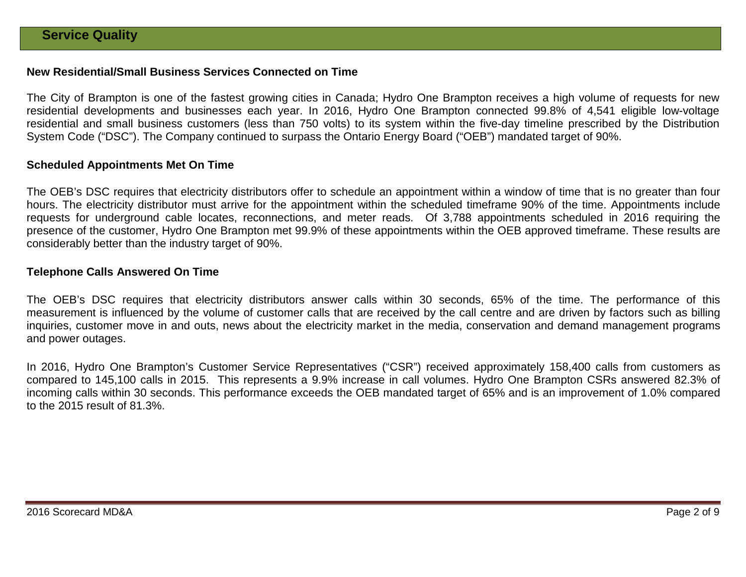### **New Residential/Small Business Services Connected on Time**

The City of Brampton is one of the fastest growing cities in Canada; Hydro One Brampton receives a high volume of requests for new residential developments and businesses each year. In 2016, Hydro One Brampton connected 99.8% of 4,541 eligible low-voltage residential and small business customers (less than 750 volts) to its system within the five-day timeline prescribed by the Distribution System Code ("DSC"). The Company continued to surpass the Ontario Energy Board ("OEB") mandated target of 90%.

#### **Scheduled Appointments Met On Time**

The OEB's DSC requires that electricity distributors offer to schedule an appointment within a window of time that is no greater than four hours. The electricity distributor must arrive for the appointment within the scheduled timeframe 90% of the time. Appointments include requests for underground cable locates, reconnections, and meter reads. Of 3,788 appointments scheduled in 2016 requiring the presence of the customer, Hydro One Brampton met 99.9% of these appointments within the OEB approved timeframe. These results are considerably better than the industry target of 90%.

#### **Telephone Calls Answered On Time**

The OEB's DSC requires that electricity distributors answer calls within 30 seconds, 65% of the time. The performance of this measurement is influenced by the volume of customer calls that are received by the call centre and are driven by factors such as billing inquiries, customer move in and outs, news about the electricity market in the media, conservation and demand management programs and power outages.

In 2016, Hydro One Brampton's Customer Service Representatives ("CSR") received approximately 158,400 calls from customers as compared to 145,100 calls in 2015. This represents a 9.9% increase in call volumes. Hydro One Brampton CSRs answered 82.3% of incoming calls within 30 seconds. This performance exceeds the OEB mandated target of 65% and is an improvement of 1.0% compared to the 2015 result of 81.3%.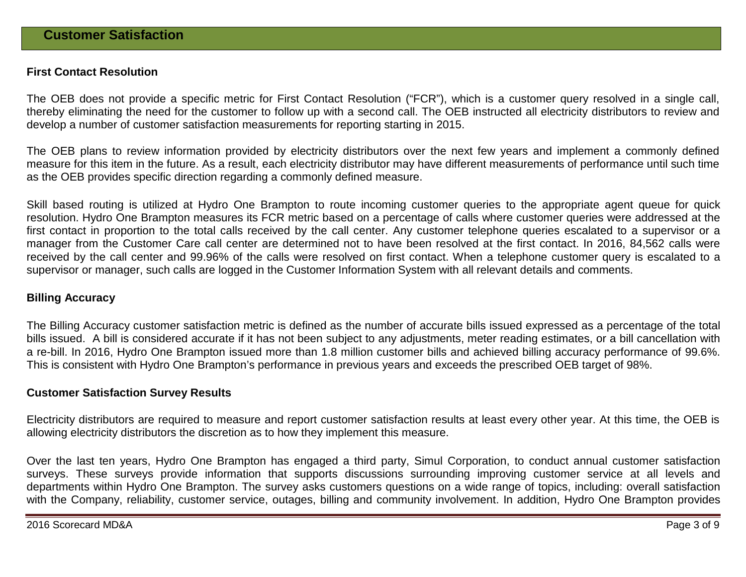#### **First Contact Resolution**

The OEB does not provide a specific metric for First Contact Resolution ("FCR"), which is a customer query resolved in a single call, thereby eliminating the need for the customer to follow up with a second call. The OEB instructed all electricity distributors to review and develop a number of customer satisfaction measurements for reporting starting in 2015.

The OEB plans to review information provided by electricity distributors over the next few years and implement a commonly defined measure for this item in the future. As a result, each electricity distributor may have different measurements of performance until such time as the OEB provides specific direction regarding a commonly defined measure.

Skill based routing is utilized at Hydro One Brampton to route incoming customer queries to the appropriate agent queue for quick resolution. Hydro One Brampton measures its FCR metric based on a percentage of calls where customer queries were addressed at the first contact in proportion to the total calls received by the call center. Any customer telephone queries escalated to a supervisor or a manager from the Customer Care call center are determined not to have been resolved at the first contact. In 2016, 84,562 calls were received by the call center and 99.96% of the calls were resolved on first contact. When a telephone customer query is escalated to a supervisor or manager, such calls are logged in the Customer Information System with all relevant details and comments.

#### **Billing Accuracy**

The Billing Accuracy customer satisfaction metric is defined as the number of accurate bills issued expressed as a percentage of the total bills issued. A bill is considered accurate if it has not been subject to any adjustments, meter reading estimates, or a bill cancellation with a re-bill. In 2016, Hydro One Brampton issued more than 1.8 million customer bills and achieved billing accuracy performance of 99.6%. This is consistent with Hydro One Brampton's performance in previous years and exceeds the prescribed OEB target of 98%.

#### **Customer Satisfaction Survey Results**

Electricity distributors are required to measure and report customer satisfaction results at least every other year. At this time, the OEB is allowing electricity distributors the discretion as to how they implement this measure.

Over the last ten years, Hydro One Brampton has engaged a third party, Simul Corporation, to conduct annual customer satisfaction surveys. These surveys provide information that supports discussions surrounding improving customer service at all levels and departments within Hydro One Brampton. The survey asks customers questions on a wide range of topics, including: overall satisfaction with the Company, reliability, customer service, outages, billing and community involvement. In addition, Hydro One Brampton provides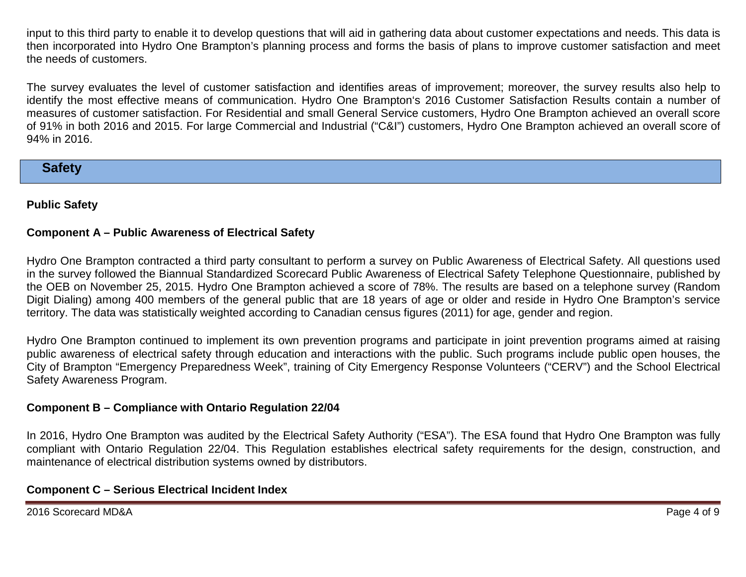input to this third party to enable it to develop questions that will aid in gathering data about customer expectations and needs. This data is then incorporated into Hydro One Brampton's planning process and forms the basis of plans to improve customer satisfaction and meet the needs of customers.

The survey evaluates the level of customer satisfaction and identifies areas of improvement; moreover, the survey results also help to identify the most effective means of communication. Hydro One Brampton's 2016 Customer Satisfaction Results contain a number of measures of customer satisfaction. For Residential and small General Service customers, Hydro One Brampton achieved an overall score of 91% in both 2016 and 2015. For large Commercial and Industrial ("C&I") customers, Hydro One Brampton achieved an overall score of 94% in 2016.

# **Safety**

# **Public Safety**

# **Component A – Public Awareness of Electrical Safety**

Hydro One Brampton contracted a third party consultant to perform a survey on Public Awareness of Electrical Safety. All questions used in the survey followed the Biannual Standardized Scorecard Public Awareness of Electrical Safety Telephone Questionnaire, published by the OEB on November 25, 2015. Hydro One Brampton achieved a score of 78%. The results are based on a telephone survey (Random Digit Dialing) among 400 members of the general public that are 18 years of age or older and reside in Hydro One Brampton's service territory. The data was statistically weighted according to Canadian census figures (2011) for age, gender and region.

Hydro One Brampton continued to implement its own prevention programs and participate in joint prevention programs aimed at raising public awareness of electrical safety through education and interactions with the public. Such programs include public open houses, the City of Brampton "Emergency Preparedness Week", training of City Emergency Response Volunteers ("CERV") and the School Electrical Safety Awareness Program.

# **Component B – Compliance with Ontario Regulation 22/04**

In 2016, Hydro One Brampton was audited by the Electrical Safety Authority ("ESA"). The ESA found that Hydro One Brampton was fully compliant with Ontario Regulation 22/04. This Regulation establishes electrical safety requirements for the design, construction, and maintenance of electrical distribution systems owned by distributors.

# **Component C – Serious Electrical Incident Index**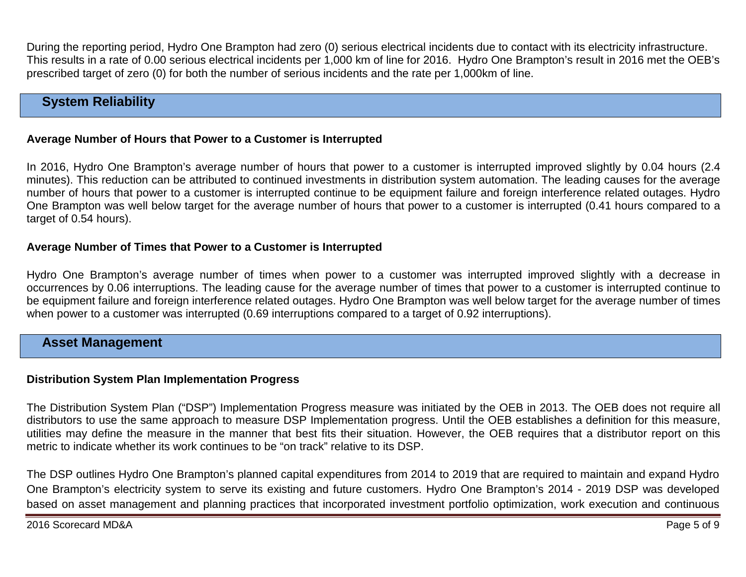During the reporting period, Hydro One Brampton had zero (0) serious electrical incidents due to contact with its electricity infrastructure. This results in a rate of 0.00 serious electrical incidents per 1,000 km of line for 2016. Hydro One Brampton's result in 2016 met the OEB's prescribed target of zero (0) for both the number of serious incidents and the rate per 1,000km of line.

# **System Reliability**

### **Average Number of Hours that Power to a Customer is Interrupted**

In 2016, Hydro One Brampton's average number of hours that power to a customer is interrupted improved slightly by 0.04 hours (2.4 minutes). This reduction can be attributed to continued investments in distribution system automation. The leading causes for the average number of hours that power to a customer is interrupted continue to be equipment failure and foreign interference related outages. Hydro One Brampton was well below target for the average number of hours that power to a customer is interrupted (0.41 hours compared to a target of 0.54 hours).

#### **Average Number of Times that Power to a Customer is Interrupted**

Hydro One Brampton's average number of times when power to a customer was interrupted improved slightly with a decrease in occurrences by 0.06 interruptions. The leading cause for the average number of times that power to a customer is interrupted continue to be equipment failure and foreign interference related outages. Hydro One Brampton was well below target for the average number of times when power to a customer was interrupted (0.69 interruptions compared to a target of 0.92 interruptions).

# **Asset Management**

#### **Distribution System Plan Implementation Progress**

The Distribution System Plan ("DSP") Implementation Progress measure was initiated by the OEB in 2013. The OEB does not require all distributors to use the same approach to measure DSP Implementation progress. Until the OEB establishes a definition for this measure, utilities may define the measure in the manner that best fits their situation. However, the OEB requires that a distributor report on this metric to indicate whether its work continues to be "on track" relative to its DSP.

The DSP outlines Hydro One Brampton's planned capital expenditures from 2014 to 2019 that are required to maintain and expand Hydro One Brampton's electricity system to serve its existing and future customers. Hydro One Brampton's 2014 - 2019 DSP was developed based on asset management and planning practices that incorporated investment portfolio optimization, work execution and continuous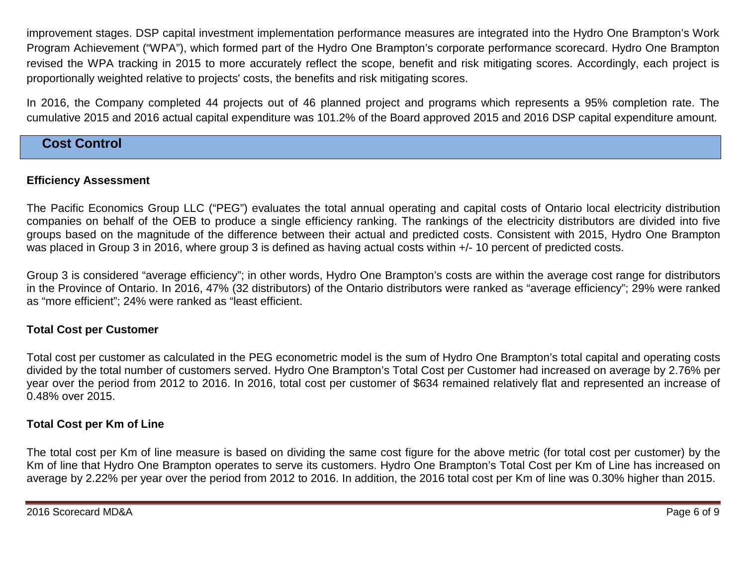improvement stages. DSP capital investment implementation performance measures are integrated into the Hydro One Brampton's Work Program Achievement ("WPA"), which formed part of the Hydro One Brampton's corporate performance scorecard. Hydro One Brampton revised the WPA tracking in 2015 to more accurately reflect the scope, benefit and risk mitigating scores. Accordingly, each project is proportionally weighted relative to projects' costs, the benefits and risk mitigating scores.

In 2016, the Company completed 44 projects out of 46 planned project and programs which represents a 95% completion rate. The cumulative 2015 and 2016 actual capital expenditure was 101.2% of the Board approved 2015 and 2016 DSP capital expenditure amount.

# **Cost Control**

### **Efficiency Assessment**

The Pacific Economics Group LLC ("PEG") evaluates the total annual operating and capital costs of Ontario local electricity distribution companies on behalf of the OEB to produce a single efficiency ranking. The rankings of the electricity distributors are divided into five groups based on the magnitude of the difference between their actual and predicted costs. Consistent with 2015, Hydro One Brampton was placed in Group 3 in 2016, where group 3 is defined as having actual costs within  $+/-10$  percent of predicted costs.

Group 3 is considered "average efficiency"; in other words, Hydro One Brampton's costs are within the average cost range for distributors in the Province of Ontario. In 2016, 47% (32 distributors) of the Ontario distributors were ranked as "average efficiency"; 29% were ranked as "more efficient"; 24% were ranked as "least efficient.

# **Total Cost per Customer**

Total cost per customer as calculated in the PEG econometric model is the sum of Hydro One Brampton's total capital and operating costs divided by the total number of customers served. Hydro One Brampton's Total Cost per Customer had increased on average by 2.76% per year over the period from 2012 to 2016. In 2016, total cost per customer of \$634 remained relatively flat and represented an increase of 0.48% over 2015.

# **Total Cost per Km of Line**

The total cost per Km of line measure is based on dividing the same cost figure for the above metric (for total cost per customer) by the Km of line that Hydro One Brampton operates to serve its customers. Hydro One Brampton's Total Cost per Km of Line has increased on average by 2.22% per year over the period from 2012 to 2016. In addition, the 2016 total cost per Km of line was 0.30% higher than 2015.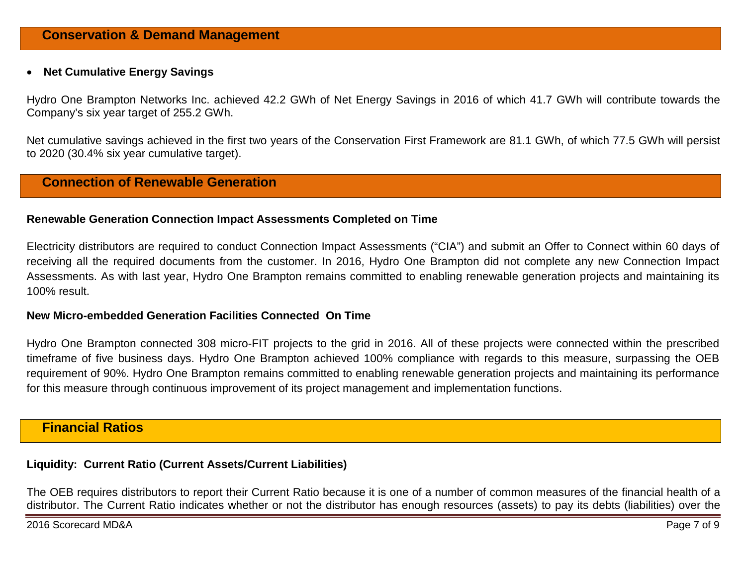#### • **Net Cumulative Energy Savings**

Hydro One Brampton Networks Inc. achieved 42.2 GWh of Net Energy Savings in 2016 of which 41.7 GWh will contribute towards the Company's six year target of 255.2 GWh.

Net cumulative savings achieved in the first two years of the Conservation First Framework are 81.1 GWh, of which 77.5 GWh will persist to 2020 (30.4% six year cumulative target).

# **Connection of Renewable Generation**

#### **Renewable Generation Connection Impact Assessments Completed on Time**

Electricity distributors are required to conduct Connection Impact Assessments ("CIA") and submit an Offer to Connect within 60 days of receiving all the required documents from the customer. In 2016, Hydro One Brampton did not complete any new Connection Impact Assessments. As with last year, Hydro One Brampton remains committed to enabling renewable generation projects and maintaining its 100% result.

#### **New Micro-embedded Generation Facilities Connected On Time**

Hydro One Brampton connected 308 micro-FIT projects to the grid in 2016. All of these projects were connected within the prescribed timeframe of five business days. Hydro One Brampton achieved 100% compliance with regards to this measure, surpassing the OEB requirement of 90%. Hydro One Brampton remains committed to enabling renewable generation projects and maintaining its performance for this measure through continuous improvement of its project management and implementation functions.

# **Financial Ratios**

# **Liquidity: Current Ratio (Current Assets/Current Liabilities)**

The OEB requires distributors to report their Current Ratio because it is one of a number of common measures of the financial health of a distributor. The Current Ratio indicates whether or not the distributor has enough resources (assets) to pay its debts (liabilities) over the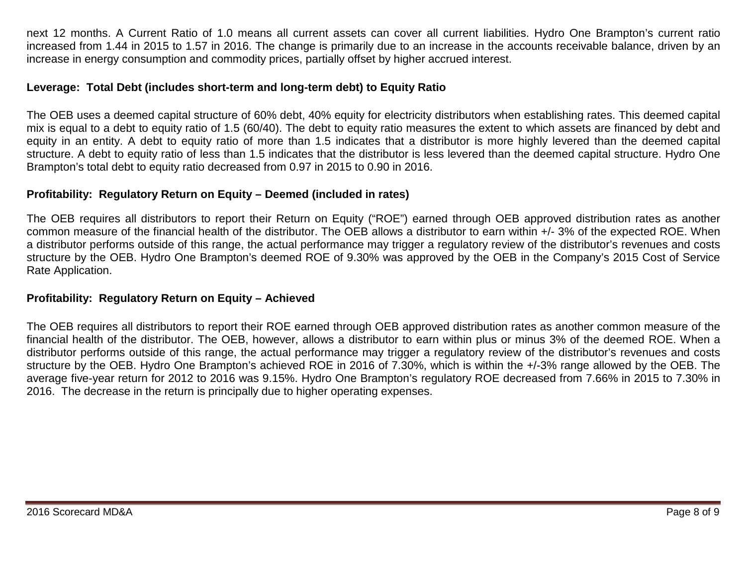next 12 months. A Current Ratio of 1.0 means all current assets can cover all current liabilities. Hydro One Brampton's current ratio increased from 1.44 in 2015 to 1.57 in 2016. The change is primarily due to an increase in the accounts receivable balance, driven by an increase in energy consumption and commodity prices, partially offset by higher accrued interest.

### **Leverage: Total Debt (includes short-term and long-term debt) to Equity Ratio**

The OEB uses a deemed capital structure of 60% debt, 40% equity for electricity distributors when establishing rates. This deemed capital mix is equal to a debt to equity ratio of 1.5 (60/40). The debt to equity ratio measures the extent to which assets are financed by debt and equity in an entity. A debt to equity ratio of more than 1.5 indicates that a distributor is more highly levered than the deemed capital structure. A debt to equity ratio of less than 1.5 indicates that the distributor is less levered than the deemed capital structure. Hydro One Brampton's total debt to equity ratio decreased from 0.97 in 2015 to 0.90 in 2016.

# **Profitability: Regulatory Return on Equity – Deemed (included in rates)**

The OEB requires all distributors to report their Return on Equity ("ROE") earned through OEB approved distribution rates as another common measure of the financial health of the distributor. The OEB allows a distributor to earn within +/- 3% of the expected ROE. When a distributor performs outside of this range, the actual performance may trigger a regulatory review of the distributor's revenues and costs structure by the OEB. Hydro One Brampton's deemed ROE of 9.30% was approved by the OEB in the Company's 2015 Cost of Service Rate Application.

#### **Profitability: Regulatory Return on Equity – Achieved**

The OEB requires all distributors to report their ROE earned through OEB approved distribution rates as another common measure of the financial health of the distributor. The OEB, however, allows a distributor to earn within plus or minus 3% of the deemed ROE. When a distributor performs outside of this range, the actual performance may trigger a regulatory review of the distributor's revenues and costs structure by the OEB. Hydro One Brampton's achieved ROE in 2016 of 7.30%, which is within the +/-3% range allowed by the OEB. The average five-year return for 2012 to 2016 was 9.15%. Hydro One Brampton's regulatory ROE decreased from 7.66% in 2015 to 7.30% in 2016. The decrease in the return is principally due to higher operating expenses.